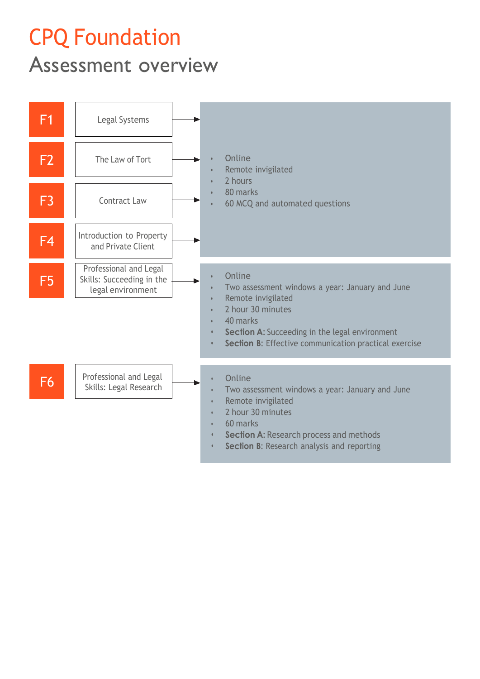## CPQ Foundation

## Assessment overview

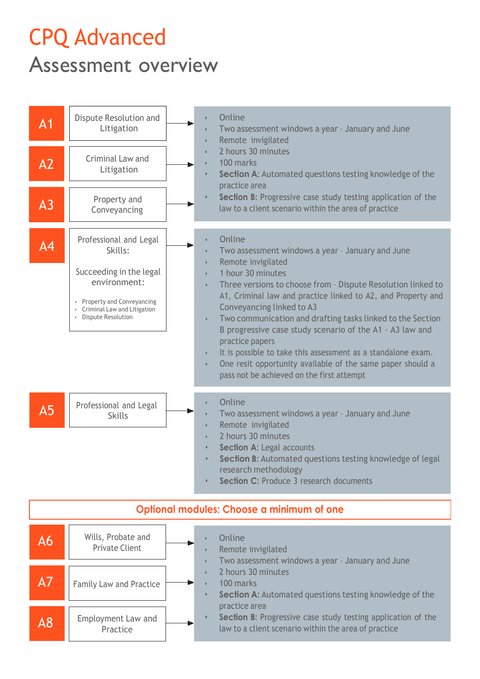## CPQ Advanced

Assessment overview



| Optional modules: Choose a minimum of one |                                             |                                                                                                                                       |  |
|-------------------------------------------|---------------------------------------------|---------------------------------------------------------------------------------------------------------------------------------------|--|
| A6                                        | Wills, Probate and<br><b>Private Client</b> | Online<br>Remote invigilated<br>Two assessment windows a year - January and June                                                      |  |
| A7                                        | <b>Family Law and Practice</b>              | 2 hours 30 minutes<br>100 marks<br><b>Section A:</b> Automated questions testing knowledge of the                                     |  |
| A8                                        | Employment Law and<br>Practice              | practice area<br>Section B: Progressive case study testing application of the<br>law to a client scenario within the area of practice |  |